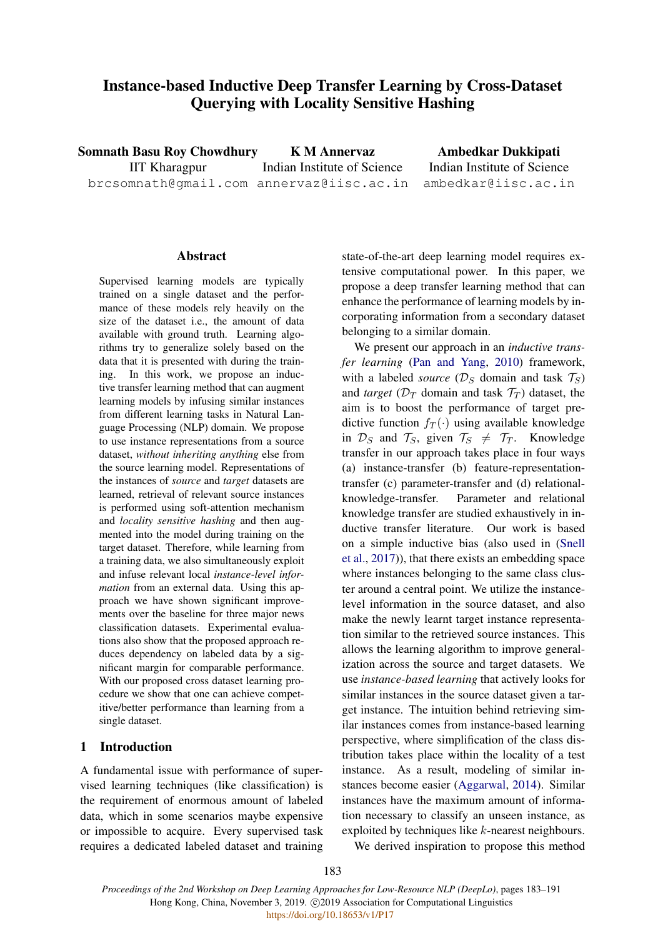# Instance-based Inductive Deep Transfer Learning by Cross-Dataset Querying with Locality Sensitive Hashing

Somnath Basu Roy Chowdhury IIT Kharagpur brcsomnath@gmail.com annervaz@iisc.ac.in K M Annervaz Indian Institute of Science Ambedkar Dukkipati Indian Institute of Science ambedkar@iisc.ac.in

### Abstract

Supervised learning models are typically trained on a single dataset and the performance of these models rely heavily on the size of the dataset i.e., the amount of data available with ground truth. Learning algorithms try to generalize solely based on the data that it is presented with during the training. In this work, we propose an inductive transfer learning method that can augment learning models by infusing similar instances from different learning tasks in Natural Language Processing (NLP) domain. We propose to use instance representations from a source dataset, *without inheriting anything* else from the source learning model. Representations of the instances of *source* and *target* datasets are learned, retrieval of relevant source instances is performed using soft-attention mechanism and *locality sensitive hashing* and then augmented into the model during training on the target dataset. Therefore, while learning from a training data, we also simultaneously exploit and infuse relevant local *instance-level information* from an external data. Using this approach we have shown significant improvements over the baseline for three major news classification datasets. Experimental evaluations also show that the proposed approach reduces dependency on labeled data by a significant margin for comparable performance. With our proposed cross dataset learning procedure we show that one can achieve competitive/better performance than learning from a single dataset.

### 1 Introduction

A fundamental issue with performance of supervised learning techniques (like classification) is the requirement of enormous amount of labeled data, which in some scenarios maybe expensive or impossible to acquire. Every supervised task requires a dedicated labeled dataset and training

state-of-the-art deep learning model requires extensive computational power. In this paper, we propose a deep transfer learning method that can enhance the performance of learning models by incorporating information from a secondary dataset belonging to a similar domain.

We present our approach in an *inductive transfer learning* [\(Pan and Yang,](#page-8-0) [2010\)](#page-8-0) framework, with a labeled *source* ( $\mathcal{D}_S$  domain and task  $\mathcal{T}_S$ ) and *target* ( $\mathcal{D}_T$  domain and task  $\mathcal{T}_T$ ) dataset, the aim is to boost the performance of target predictive function  $f_T(\cdot)$  using available knowledge in  $\mathcal{D}_S$  and  $\mathcal{T}_S$ , given  $\mathcal{T}_S \neq \mathcal{T}_T$ . Knowledge transfer in our approach takes place in four ways (a) instance-transfer (b) feature-representationtransfer (c) parameter-transfer and (d) relationalknowledge-transfer. Parameter and relational knowledge transfer are studied exhaustively in inductive transfer literature. Our work is based on a simple inductive bias (also used in [\(Snell](#page-8-1) [et al.,](#page-8-1) [2017\)](#page-8-1)), that there exists an embedding space where instances belonging to the same class cluster around a central point. We utilize the instancelevel information in the source dataset, and also make the newly learnt target instance representation similar to the retrieved source instances. This allows the learning algorithm to improve generalization across the source and target datasets. We use *instance-based learning* that actively looks for similar instances in the source dataset given a target instance. The intuition behind retrieving similar instances comes from instance-based learning perspective, where simplification of the class distribution takes place within the locality of a test instance. As a result, modeling of similar instances become easier [\(Aggarwal,](#page-7-0) [2014\)](#page-7-0). Similar instances have the maximum amount of information necessary to classify an unseen instance, as exploited by techniques like k-nearest neighbours.

We derived inspiration to propose this method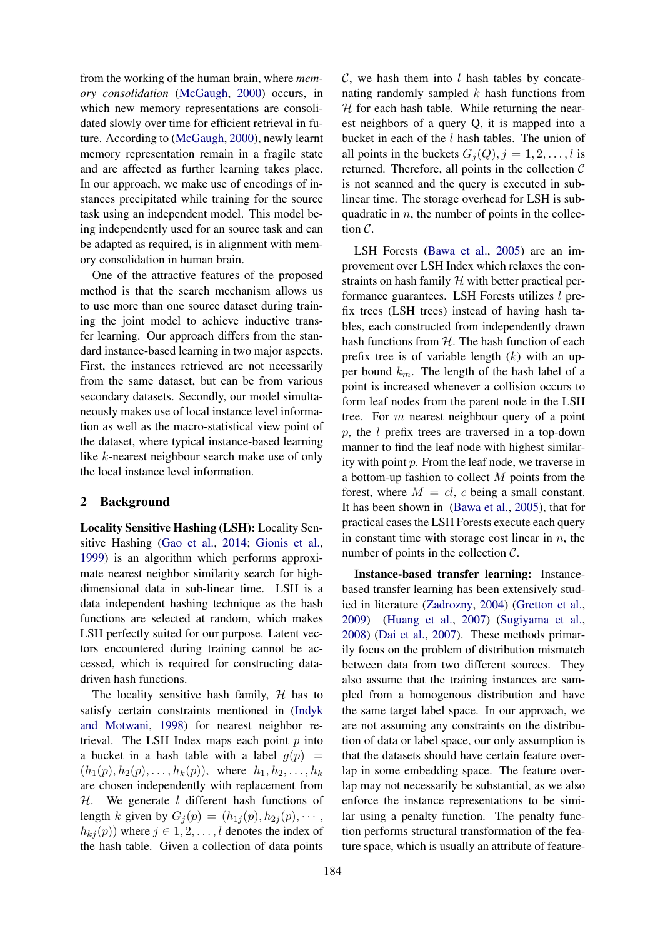from the working of the human brain, where *memory consolidation* [\(McGaugh,](#page-8-2) [2000\)](#page-8-2) occurs, in which new memory representations are consolidated slowly over time for efficient retrieval in future. According to [\(McGaugh,](#page-8-2) [2000\)](#page-8-2), newly learnt memory representation remain in a fragile state and are affected as further learning takes place. In our approach, we make use of encodings of instances precipitated while training for the source task using an independent model. This model being independently used for an source task and can be adapted as required, is in alignment with memory consolidation in human brain.

One of the attractive features of the proposed method is that the search mechanism allows us to use more than one source dataset during training the joint model to achieve inductive transfer learning. Our approach differs from the standard instance-based learning in two major aspects. First, the instances retrieved are not necessarily from the same dataset, but can be from various secondary datasets. Secondly, our model simultaneously makes use of local instance level information as well as the macro-statistical view point of the dataset, where typical instance-based learning like k-nearest neighbour search make use of only the local instance level information.

#### 2 Background

Locality Sensitive Hashing (LSH): Locality Sensitive Hashing [\(Gao et al.,](#page-7-1) [2014;](#page-7-1) [Gionis et al.,](#page-7-2) [1999\)](#page-7-2) is an algorithm which performs approximate nearest neighbor similarity search for highdimensional data in sub-linear time. LSH is a data independent hashing technique as the hash functions are selected at random, which makes LSH perfectly suited for our purpose. Latent vectors encountered during training cannot be accessed, which is required for constructing datadriven hash functions.

The locality sensitive hash family,  $H$  has to satisfy certain constraints mentioned in [\(Indyk](#page-8-3) [and Motwani,](#page-8-3) [1998\)](#page-8-3) for nearest neighbor retrieval. The LSH Index maps each point  $p$  into a bucket in a hash table with a label  $q(p)$  =  $(h_1(p), h_2(p), \ldots, h_k(p)),$  where  $h_1, h_2, \ldots, h_k$ are chosen independently with replacement from  $H.$  We generate *l* different hash functions of length k given by  $G_i(p) = (h_{1i}(p), h_{2i}(p), \cdots, h_{n}i(p))$  $h_{kj}(p)$ ) where  $j \in 1, 2, ..., l$  denotes the index of the hash table. Given a collection of data points

 $C$ , we hash them into l hash tables by concatenating randomly sampled  $k$  hash functions from  $H$  for each hash table. While returning the nearest neighbors of a query Q, it is mapped into a bucket in each of the  $l$  hash tables. The union of all points in the buckets  $G_i(Q), j = 1, 2, \ldots, l$  is returned. Therefore, all points in the collection  $\mathcal C$ is not scanned and the query is executed in sublinear time. The storage overhead for LSH is subquadratic in  $n$ , the number of points in the collection C.

LSH Forests [\(Bawa et al.,](#page-7-3) [2005\)](#page-7-3) are an improvement over LSH Index which relaxes the constraints on hash family  $H$  with better practical performance guarantees. LSH Forests utilizes l prefix trees (LSH trees) instead of having hash tables, each constructed from independently drawn hash functions from  $H$ . The hash function of each prefix tree is of variable length  $(k)$  with an upper bound  $k_m$ . The length of the hash label of a point is increased whenever a collision occurs to form leaf nodes from the parent node in the LSH tree. For m nearest neighbour query of a point p, the l prefix trees are traversed in a top-down manner to find the leaf node with highest similarity with point p. From the leaf node, we traverse in a bottom-up fashion to collect M points from the forest, where  $M = cl$ , c being a small constant. It has been shown in [\(Bawa et al.,](#page-7-3) [2005\)](#page-7-3), that for practical cases the LSH Forests execute each query in constant time with storage cost linear in  $n$ , the number of points in the collection  $C$ .

Instance-based transfer learning: Instancebased transfer learning has been extensively studied in literature [\(Zadrozny,](#page-8-4) [2004\)](#page-8-4) [\(Gretton et al.,](#page-7-4) [2009\)](#page-7-4) [\(Huang et al.,](#page-8-5) [2007\)](#page-8-5) [\(Sugiyama et al.,](#page-8-6) [2008\)](#page-8-6) [\(Dai et al.,](#page-7-5) [2007\)](#page-7-5). These methods primarily focus on the problem of distribution mismatch between data from two different sources. They also assume that the training instances are sampled from a homogenous distribution and have the same target label space. In our approach, we are not assuming any constraints on the distribution of data or label space, our only assumption is that the datasets should have certain feature overlap in some embedding space. The feature overlap may not necessarily be substantial, as we also enforce the instance representations to be similar using a penalty function. The penalty function performs structural transformation of the feature space, which is usually an attribute of feature-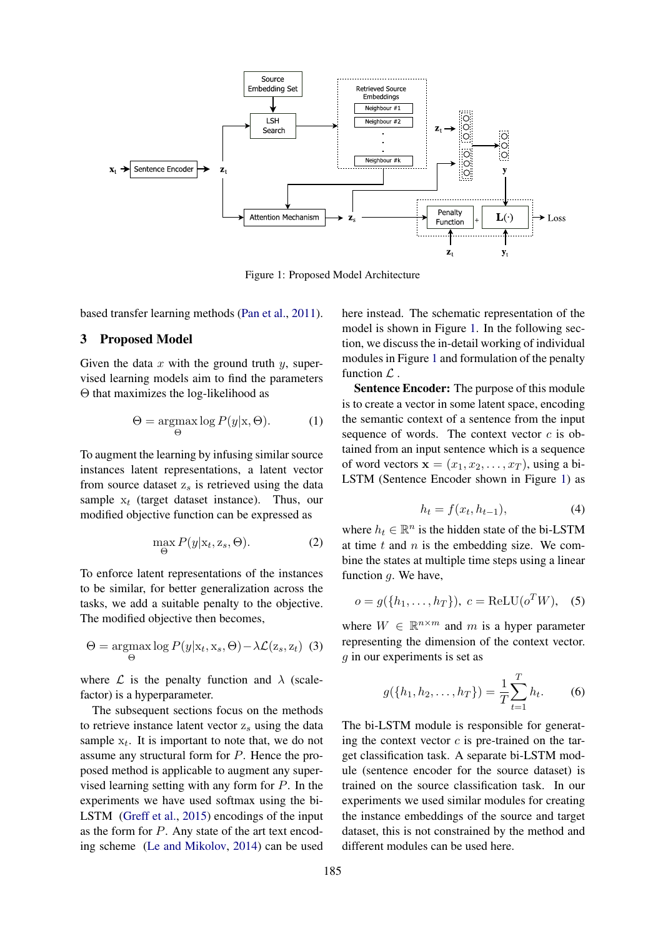<span id="page-2-0"></span>

Figure 1: Proposed Model Architecture

based transfer learning methods [\(Pan et al.,](#page-8-7) [2011\)](#page-8-7).

# 3 Proposed Model

Given the data  $x$  with the ground truth  $y$ , supervised learning models aim to find the parameters Θ that maximizes the log-likelihood as

$$
\Theta = \underset{\Theta}{\operatorname{argmax}} \log P(y|\mathbf{x}, \Theta). \tag{1}
$$

To augment the learning by infusing similar source instances latent representations, a latent vector from source dataset  $z_s$  is retrieved using the data sample  $x_t$  (target dataset instance). Thus, our modified objective function can be expressed as

$$
\max_{\Theta} P(y|\mathbf{x}_t, \mathbf{z}_s, \Theta). \tag{2}
$$

To enforce latent representations of the instances to be similar, for better generalization across the tasks, we add a suitable penalty to the objective. The modified objective then becomes,

$$
\Theta = \underset{\Theta}{\operatorname{argmax}} \log P(y|\mathbf{x}_t, \mathbf{x}_s, \Theta) - \lambda \mathcal{L}(\mathbf{z}_s, \mathbf{z}_t) \tag{3}
$$

where  $\mathcal L$  is the penalty function and  $\lambda$  (scalefactor) is a hyperparameter.

The subsequent sections focus on the methods to retrieve instance latent vector  $z_s$  using the data sample  $x_t$ . It is important to note that, we do not assume any structural form for P. Hence the proposed method is applicable to augment any supervised learning setting with any form for P. In the experiments we have used softmax using the bi-LSTM [\(Greff et al.,](#page-7-6) [2015\)](#page-7-6) encodings of the input as the form for P. Any state of the art text encoding scheme [\(Le and Mikolov,](#page-8-8) [2014\)](#page-8-8) can be used

here instead. The schematic representation of the model is shown in Figure [1.](#page-2-0) In the following section, we discuss the in-detail working of individual modules in Figure [1](#page-2-0) and formulation of the penalty function  $\mathcal{L}$ .

Sentence Encoder: The purpose of this module is to create a vector in some latent space, encoding the semantic context of a sentence from the input sequence of words. The context vector  $c$  is obtained from an input sentence which is a sequence of word vectors  $\mathbf{x} = (x_1, x_2, \dots, x_T)$ , using a bi-LSTM (Sentence Encoder shown in Figure [1\)](#page-2-0) as

<span id="page-2-1"></span>
$$
h_t = f(x_t, h_{t-1}),\tag{4}
$$

where  $h_t \in \mathbb{R}^n$  is the hidden state of the bi-LSTM at time  $t$  and  $n$  is the embedding size. We combine the states at multiple time steps using a linear function  $g$ . We have,

$$
o = g(\lbrace h_1, \ldots, h_T \rbrace), \ c = \text{ReLU}(o^T W), \quad (5)
$$

where  $W \in \mathbb{R}^{n \times m}$  and m is a hyper parameter representing the dimension of the context vector. g in our experiments is set as

$$
g({h_1, h_2, \ldots, h_T}) = \frac{1}{T} \sum_{t=1}^{T} h_t.
$$
 (6)

The bi-LSTM module is responsible for generating the context vector  $c$  is pre-trained on the target classification task. A separate bi-LSTM module (sentence encoder for the source dataset) is trained on the source classification task. In our experiments we used similar modules for creating the instance embeddings of the source and target dataset, this is not constrained by the method and different modules can be used here.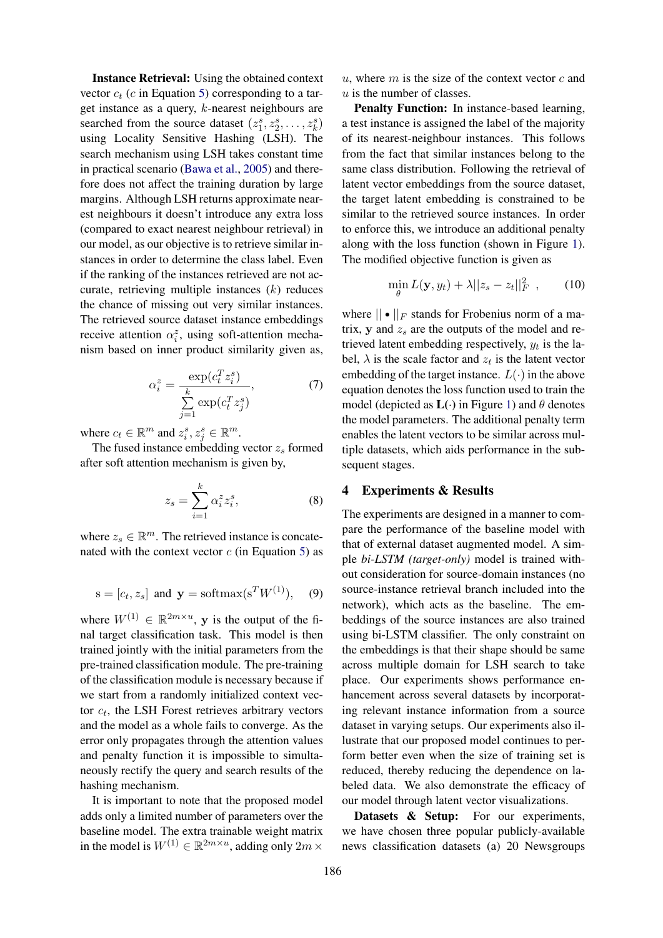Instance Retrieval: Using the obtained context vector  $c_t$  (c in Equation [5\)](#page-2-1) corresponding to a target instance as a query, k-nearest neighbours are searched from the source dataset  $(z_1^s, z_2^s, \ldots, z_k^s)$ using Locality Sensitive Hashing (LSH). The search mechanism using LSH takes constant time in practical scenario [\(Bawa et al.,](#page-7-3) [2005\)](#page-7-3) and therefore does not affect the training duration by large margins. Although LSH returns approximate nearest neighbours it doesn't introduce any extra loss (compared to exact nearest neighbour retrieval) in our model, as our objective is to retrieve similar instances in order to determine the class label. Even if the ranking of the instances retrieved are not accurate, retrieving multiple instances  $(k)$  reduces the chance of missing out very similar instances. The retrieved source dataset instance embeddings receive attention  $\alpha_i^z$ , using soft-attention mechanism based on inner product similarity given as,

$$
\alpha_i^z = \frac{\exp(c_i^T z_i^s)}{\sum\limits_{j=1}^k \exp(c_i^T z_j^s)},\tag{7}
$$

where  $c_t \in \mathbb{R}^m$  and  $z_i^s, z_j^s \in \mathbb{R}^m$ .

The fused instance embedding vector  $z_s$  formed after soft attention mechanism is given by,

$$
z_s = \sum_{i=1}^k \alpha_i^z z_i^s,\tag{8}
$$

where  $z_s \in \mathbb{R}^m$ . The retrieved instance is concatenated with the context vector  $c$  (in Equation [5\)](#page-2-1) as

$$
s = [c_t, z_s] \text{ and } \mathbf{y} = \text{softmax}(\mathbf{s}^T W^{(1)}), \quad (9)
$$

where  $W^{(1)} \in \mathbb{R}^{2m \times u}$ , y is the output of the final target classification task. This model is then trained jointly with the initial parameters from the pre-trained classification module. The pre-training of the classification module is necessary because if we start from a randomly initialized context vector  $c_t$ , the LSH Forest retrieves arbitrary vectors and the model as a whole fails to converge. As the error only propagates through the attention values and penalty function it is impossible to simultaneously rectify the query and search results of the hashing mechanism.

It is important to note that the proposed model adds only a limited number of parameters over the baseline model. The extra trainable weight matrix in the model is  $W^{(1)} \in \mathbb{R}^{2m \times u}$ , adding only  $2m \times$ 

 $u$ , where  $m$  is the size of the context vector  $c$  and  $u$  is the number of classes.

Penalty Function: In instance-based learning, a test instance is assigned the label of the majority of its nearest-neighbour instances. This follows from the fact that similar instances belong to the same class distribution. Following the retrieval of latent vector embeddings from the source dataset, the target latent embedding is constrained to be similar to the retrieved source instances. In order to enforce this, we introduce an additional penalty along with the loss function (shown in Figure [1\)](#page-2-0). The modified objective function is given as

$$
\min_{\theta} L(\mathbf{y}, y_t) + \lambda ||z_s - z_t||_F^2 , \qquad (10)
$$

where  $\|\bullet\|_F$  stands for Frobenius norm of a matrix, y and  $z_s$  are the outputs of the model and retrieved latent embedding respectively,  $y_t$  is the label,  $\lambda$  is the scale factor and  $z_t$  is the latent vector embedding of the target instance.  $L(\cdot)$  in the above equation denotes the loss function used to train the model (depicted as  $L(\cdot)$  in Figure [1\)](#page-2-0) and  $\theta$  denotes the model parameters. The additional penalty term enables the latent vectors to be similar across multiple datasets, which aids performance in the subsequent stages.

# 4 Experiments & Results

The experiments are designed in a manner to compare the performance of the baseline model with that of external dataset augmented model. A simple *bi-LSTM (target-only)* model is trained without consideration for source-domain instances (no source-instance retrieval branch included into the network), which acts as the baseline. The embeddings of the source instances are also trained using bi-LSTM classifier. The only constraint on the embeddings is that their shape should be same across multiple domain for LSH search to take place. Our experiments shows performance enhancement across several datasets by incorporating relevant instance information from a source dataset in varying setups. Our experiments also illustrate that our proposed model continues to perform better even when the size of training set is reduced, thereby reducing the dependence on labeled data. We also demonstrate the efficacy of our model through latent vector visualizations.

Datasets & Setup: For our experiments, we have chosen three popular publicly-available news classification datasets (a) 20 Newsgroups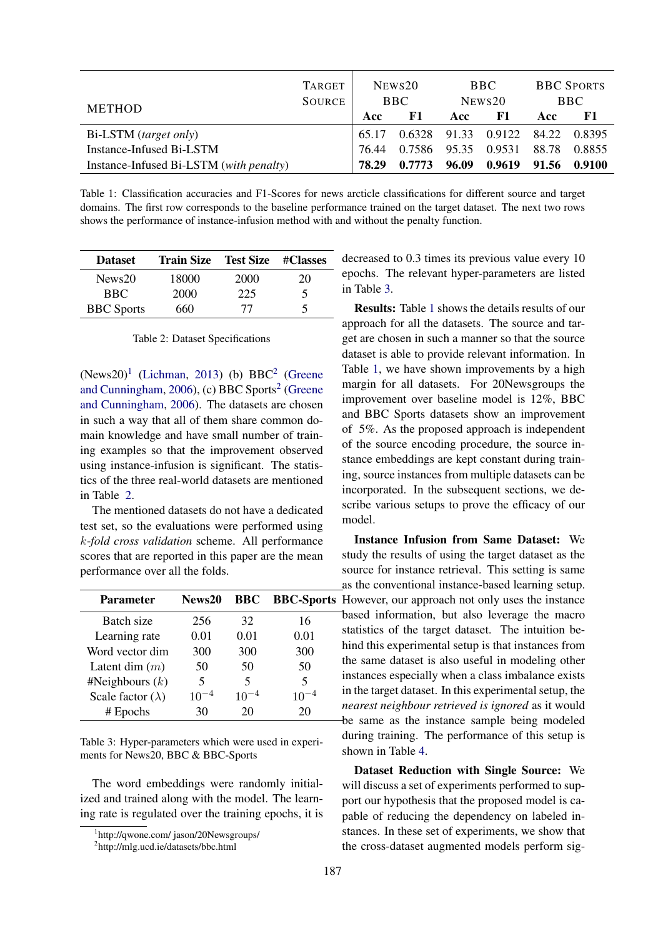<span id="page-4-4"></span>

| <b>METHOD</b>                           | <b>TARGET</b><br><b>SOURCE</b> | NEWS <sub>20</sub><br>BBC. |        | BBC.<br>$N$ EWS $20$ |                                  | <b>BBC SPORTS</b><br><b>BBC</b> |        |
|-----------------------------------------|--------------------------------|----------------------------|--------|----------------------|----------------------------------|---------------------------------|--------|
|                                         |                                | Acc                        | F1     | Acc                  | F1                               | Acc                             | -F1    |
| Bi-LSTM (target only)                   |                                | 65.17                      |        |                      | 0.6328 91.33 0.9122 84.22 0.8395 |                                 |        |
| Instance-Infused Bi-LSTM                |                                | 76.44                      | 0.7586 | 95.35                | 0.9531                           | 88.78                           | 0.8855 |
| Instance-Infused Bi-LSTM (with penalty) |                                | 78.29                      | 0.7773 | 96.09                | 0.9619                           | 91.56                           | 0.9100 |

Table 1: Classification accuracies and F1-Scores for news arcticle classifications for different source and target domains. The first row corresponds to the baseline performance trained on the target dataset. The next two rows shows the performance of instance-infusion method with and without the penalty function.

<span id="page-4-2"></span>

| <b>Dataset</b>    | <b>Train Size</b> Test Size #Classes |      |    |
|-------------------|--------------------------------------|------|----|
| News20            | 18000                                | 2000 | 20 |
| <b>BBC</b>        | 2000                                 | 225  | 5  |
| <b>BBC</b> Sports | 660                                  | 77   | ↖  |

Table 2: Dataset Specifications

 $(News20)<sup>1</sup>$  $(News20)<sup>1</sup>$  $(News20)<sup>1</sup>$  [\(Lichman,](#page-8-9) [2013\)](#page-8-9) (b) BBC<sup>[2](#page-4-1)</sup> [\(Greene](#page-7-7) [and Cunningham,](#page-7-7) [2006\)](#page-7-7), (c) BBC Sports<sup>[2](#page-4-1)</sup> [\(Greene](#page-7-7) [and Cunningham,](#page-7-7) [2006\)](#page-7-7). The datasets are chosen in such a way that all of them share common domain knowledge and have small number of training examples so that the improvement observed using instance-infusion is significant. The statistics of the three real-world datasets are mentioned in Table [2.](#page-4-2)

The mentioned datasets do not have a dedicated test set, so the evaluations were performed using k-*fold cross validation* scheme. All performance scores that are reported in this paper are the mean performance over all the folds.

<span id="page-4-3"></span>

| <b>Parameter</b>         | News20                  | <b>BBC</b> | <b>BBC-Sports</b> |
|--------------------------|-------------------------|------------|-------------------|
| Batch size               | 256                     | 32         | 16                |
| Learning rate            | 0.01                    | 0.01       | 0.01              |
| Word vector dim          | 300                     | 300        | 300               |
| Latent dim $(m)$         | 50                      | 50         | 50                |
| #Neighbours $(k)$        | $\overline{\mathbf{5}}$ | 5          | 5                 |
| Scale factor $(\lambda)$ | $10^{-4}$               | $10^{-4}$  | $10^{-4}$         |
| # Epochs                 | 30                      | 20         | 20                |

Table 3: Hyper-parameters which were used in experiments for News20, BBC & BBC-Sports

The word embeddings were randomly initialized and trained along with the model. The learning rate is regulated over the training epochs, it is

decreased to 0.3 times its previous value every 10 epochs. The relevant hyper-parameters are listed in Table [3.](#page-4-3)

Results: Table [1](#page-4-4) shows the details results of our approach for all the datasets. The source and target are chosen in such a manner so that the source dataset is able to provide relevant information. In Table [1,](#page-4-4) we have shown improvements by a high margin for all datasets. For 20Newsgroups the improvement over baseline model is 12%, BBC and BBC Sports datasets show an improvement of 5%. As the proposed approach is independent of the source encoding procedure, the source instance embeddings are kept constant during training, source instances from multiple datasets can be incorporated. In the subsequent sections, we describe various setups to prove the efficacy of our model.

Instance Infusion from Same Dataset: We study the results of using the target dataset as the source for instance retrieval. This setting is same as the conventional instance-based learning setup. However, our approach not only uses the instance based information, but also leverage the macro statistics of the target dataset. The intuition behind this experimental setup is that instances from the same dataset is also useful in modeling other instances especially when a class imbalance exists in the target dataset. In this experimental setup, the *nearest neighbour retrieved is ignored* as it would be same as the instance sample being modeled during training. The performance of this setup is shown in Table [4.](#page-5-0)

Dataset Reduction with Single Source: We will discuss a set of experiments performed to support our hypothesis that the proposed model is capable of reducing the dependency on labeled instances. In these set of experiments, we show that the cross-dataset augmented models perform sig-

<span id="page-4-0"></span><sup>1</sup> http://qwone.com/ jason/20Newsgroups/

<span id="page-4-1"></span><sup>2</sup> http://mlg.ucd.ie/datasets/bbc.html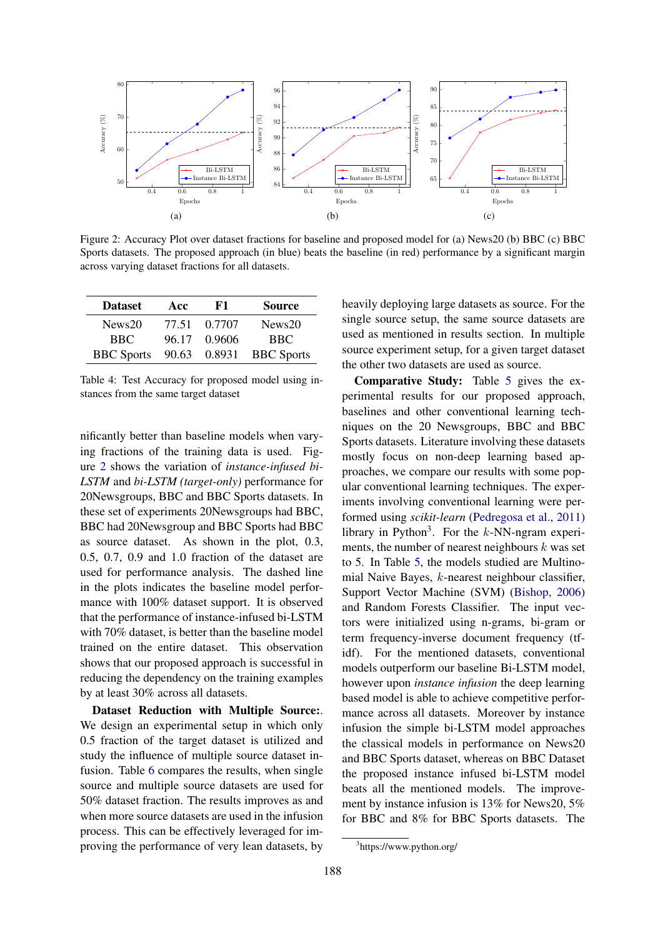<span id="page-5-1"></span>

Figure 2: Accuracy Plot over dataset fractions for baseline and proposed model for (a) News20 (b) BBC (c) BBC Sports datasets. The proposed approach (in blue) beats the baseline (in red) performance by a significant margin across varying dataset fractions for all datasets.

<span id="page-5-0"></span>

| <b>Dataset</b>    | Acc   | F1     | <b>Source</b>           |
|-------------------|-------|--------|-------------------------|
| News20            | 77.51 | 0.7707 | News20                  |
| BBC.              | 96.17 | 0.9606 | <b>BBC</b>              |
| <b>BBC</b> Sports |       |        | 90.63 0.8931 BBC Sports |

Table 4: Test Accuracy for proposed model using instances from the same target dataset

nificantly better than baseline models when varying fractions of the training data is used. Figure [2](#page-5-1) shows the variation of *instance-infused bi-LSTM* and *bi-LSTM (target-only)* performance for 20Newsgroups, BBC and BBC Sports datasets. In these set of experiments 20Newsgroups had BBC, BBC had 20Newsgroup and BBC Sports had BBC as source dataset. As shown in the plot, 0.3, 0.5, 0.7, 0.9 and 1.0 fraction of the dataset are used for performance analysis. The dashed line in the plots indicates the baseline model performance with 100% dataset support. It is observed that the performance of instance-infused bi-LSTM with 70% dataset, is better than the baseline model trained on the entire dataset. This observation shows that our proposed approach is successful in reducing the dependency on the training examples by at least 30% across all datasets.

Dataset Reduction with Multiple Source:. We design an experimental setup in which only 0.5 fraction of the target dataset is utilized and study the influence of multiple source dataset infusion. Table [6](#page-6-0) compares the results, when single source and multiple source datasets are used for 50% dataset fraction. The results improves as and when more source datasets are used in the infusion process. This can be effectively leveraged for improving the performance of very lean datasets, by

heavily deploying large datasets as source. For the single source setup, the same source datasets are used as mentioned in results section. In multiple source experiment setup, for a given target dataset the other two datasets are used as source.

Comparative Study: Table [5](#page-6-1) gives the experimental results for our proposed approach, baselines and other conventional learning techniques on the 20 Newsgroups, BBC and BBC Sports datasets. Literature involving these datasets mostly focus on non-deep learning based approaches, we compare our results with some popular conventional learning techniques. The experiments involving conventional learning were performed using *scikit-learn* [\(Pedregosa et al.,](#page-8-10) [2011\)](#page-8-10) library in Python<sup>[3](#page-5-2)</sup>. For the  $k$ -NN-ngram experiments, the number of nearest neighbours  $k$  was set to 5. In Table [5,](#page-6-1) the models studied are Multinomial Naive Bayes, k-nearest neighbour classifier, Support Vector Machine (SVM) [\(Bishop,](#page-7-8) [2006\)](#page-7-8) and Random Forests Classifier. The input vectors were initialized using n-grams, bi-gram or term frequency-inverse document frequency (tfidf). For the mentioned datasets, conventional models outperform our baseline Bi-LSTM model, however upon *instance infusion* the deep learning based model is able to achieve competitive performance across all datasets. Moreover by instance infusion the simple bi-LSTM model approaches the classical models in performance on News20 and BBC Sports dataset, whereas on BBC Dataset the proposed instance infused bi-LSTM model beats all the mentioned models. The improvement by instance infusion is 13% for News20, 5% for BBC and 8% for BBC Sports datasets. The

<span id="page-5-2"></span><sup>3</sup> https://www.python.org/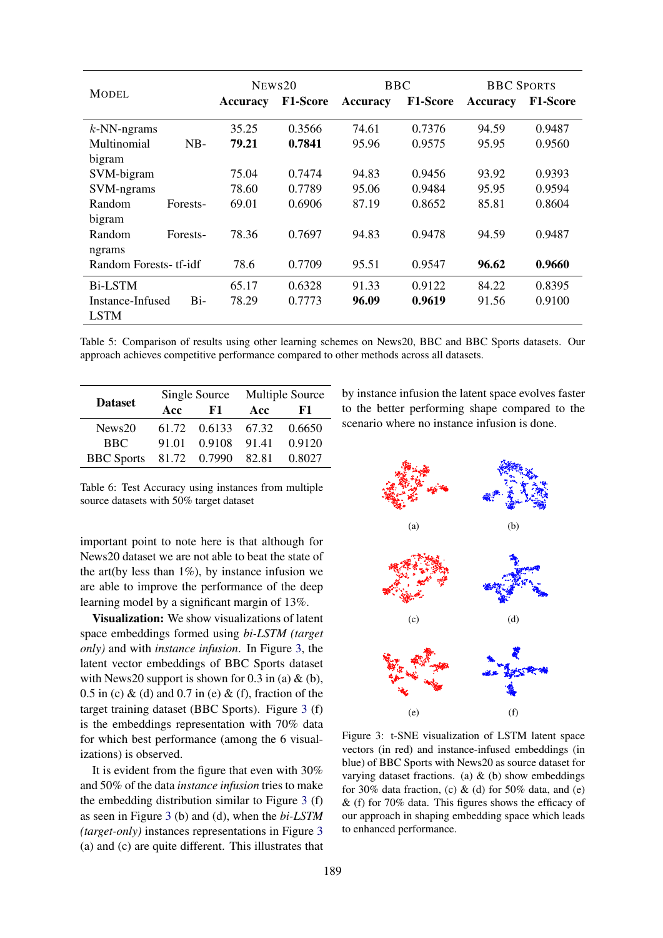<span id="page-6-1"></span>

|                         | NEWS <sub>20</sub> |                 | <b>BBC</b>      |                 | <b>BBC SPORTS</b> |                 |
|-------------------------|--------------------|-----------------|-----------------|-----------------|-------------------|-----------------|
| <b>MODEL</b>            | Accuracy           | <b>F1-Score</b> | <b>Accuracy</b> | <b>F1-Score</b> | <b>Accuracy</b>   | <b>F1-Score</b> |
| $k$ -NN-ngrams          | 35.25              | 0.3566          | 74.61           | 0.7376          | 94.59             | 0.9487          |
| Multinomial<br>$NB-$    | 79.21              | 0.7841          | 95.96           | 0.9575          | 95.95             | 0.9560          |
| bigram                  |                    |                 |                 |                 |                   |                 |
| SVM-bigram              | 75.04              | 0.7474          | 94.83           | 0.9456          | 93.92             | 0.9393          |
| SVM-ngrams              | 78.60              | 0.7789          | 95.06           | 0.9484          | 95.95             | 0.9594          |
| Random<br>Forests-      | 69.01              | 0.6906          | 87.19           | 0.8652          | 85.81             | 0.8604          |
| bigram                  |                    |                 |                 |                 |                   |                 |
| Random<br>Forests-      | 78.36              | 0.7697          | 94.83           | 0.9478          | 94.59             | 0.9487          |
| ngrams                  |                    |                 |                 |                 |                   |                 |
| Random Forests- tf-idf  | 78.6               | 0.7709          | 95.51           | 0.9547          | 96.62             | 0.9660          |
| <b>Bi-LSTM</b>          | 65.17              | 0.6328          | 91.33           | 0.9122          | 84.22             | 0.8395          |
| Bi-<br>Instance-Infused | 78.29              | 0.7773          | 96.09           | 0.9619          | 91.56             | 0.9100          |
| <b>LSTM</b>             |                    |                 |                 |                 |                   |                 |

Table 5: Comparison of results using other learning schemes on News20, BBC and BBC Sports datasets. Our approach achieves competitive performance compared to other methods across all datasets.

<span id="page-6-0"></span>

| <b>Dataset</b>    |     | Single Source      | Multiple Source |        |  |
|-------------------|-----|--------------------|-----------------|--------|--|
|                   | Acc | F1                 | Acc             | F1     |  |
| News20            |     | 61.72 0.6133 67.32 |                 | 0.6650 |  |
| <b>BBC</b>        |     | 91.01 0.9108       | 91.41           | 0.9120 |  |
| <b>BBC</b> Sports |     | 81.72 0.7990       | 82.81           | 0.8027 |  |

Table 6: Test Accuracy using instances from multiple source datasets with 50% target dataset

important point to note here is that although for News20 dataset we are not able to beat the state of the art(by less than  $1\%$ ), by instance infusion we are able to improve the performance of the deep learning model by a significant margin of 13%.

Visualization: We show visualizations of latent space embeddings formed using *bi-LSTM (target only)* and with *instance infusion*. In Figure [3,](#page-6-2) the latent vector embeddings of BBC Sports dataset with News20 support is shown for  $0.3$  in (a)  $\&$  (b),  $0.5$  in (c) & (d) and  $0.7$  in (e) & (f), fraction of the target training dataset (BBC Sports). Figure [3](#page-6-2) (f) is the embeddings representation with 70% data for which best performance (among the 6 visualizations) is observed.

It is evident from the figure that even with 30% and 50% of the data *instance infusion* tries to make the embedding distribution similar to Figure [3](#page-6-2) (f) as seen in Figure [3](#page-6-2) (b) and (d), when the *bi-LSTM (target-only)* instances representations in Figure [3](#page-6-2) (a) and (c) are quite different. This illustrates that by instance infusion the latent space evolves faster to the better performing shape compared to the scenario where no instance infusion is done.

<span id="page-6-2"></span>

Figure 3: t-SNE visualization of LSTM latent space vectors (in red) and instance-infused embeddings (in blue) of BBC Sports with News20 as source dataset for varying dataset fractions. (a)  $\&$  (b) show embeddings for 30% data fraction, (c)  $&$  (d) for 50% data, and (e) & (f) for 70% data. This figures shows the efficacy of our approach in shaping embedding space which leads to enhanced performance.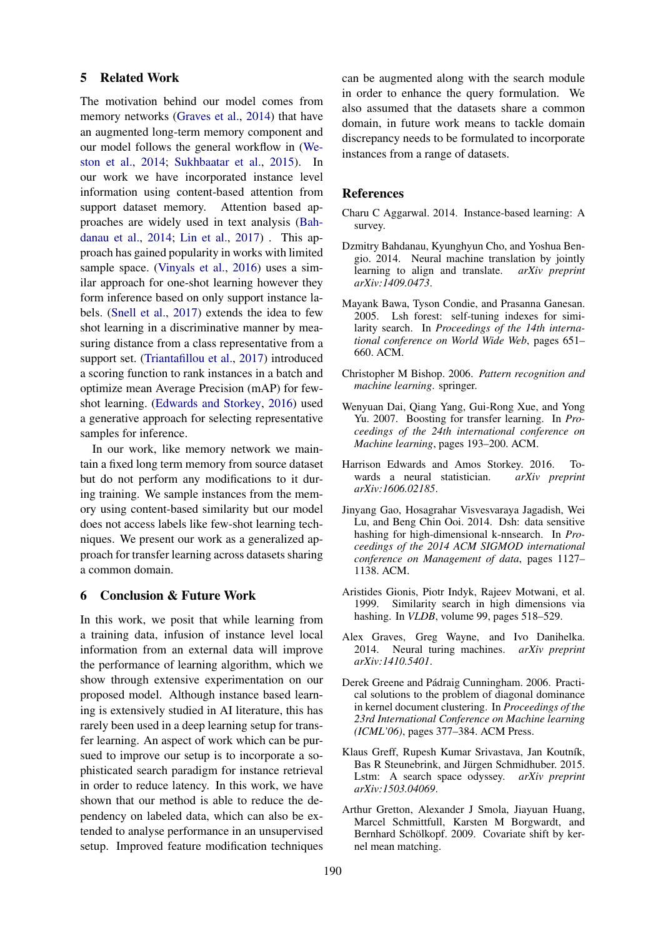#### 5 Related Work

The motivation behind our model comes from memory networks [\(Graves et al.,](#page-7-9) [2014\)](#page-7-9) that have an augmented long-term memory component and our model follows the general workflow in [\(We](#page-8-11)[ston et al.,](#page-8-11) [2014;](#page-8-11) [Sukhbaatar et al.,](#page-8-12) [2015\)](#page-8-12). In our work we have incorporated instance level information using content-based attention from support dataset memory. Attention based approaches are widely used in text analysis [\(Bah](#page-7-10)[danau et al.,](#page-7-10) [2014;](#page-7-10) [Lin et al.,](#page-8-13) [2017\)](#page-8-13) . This approach has gained popularity in works with limited sample space. [\(Vinyals et al.,](#page-8-14) [2016\)](#page-8-14) uses a similar approach for one-shot learning however they form inference based on only support instance labels. [\(Snell et al.,](#page-8-1) [2017\)](#page-8-1) extends the idea to few shot learning in a discriminative manner by measuring distance from a class representative from a support set. [\(Triantafillou et al.,](#page-8-15) [2017\)](#page-8-15) introduced a scoring function to rank instances in a batch and optimize mean Average Precision (mAP) for fewshot learning. [\(Edwards and Storkey,](#page-7-11) [2016\)](#page-7-11) used a generative approach for selecting representative samples for inference.

In our work, like memory network we maintain a fixed long term memory from source dataset but do not perform any modifications to it during training. We sample instances from the memory using content-based similarity but our model does not access labels like few-shot learning techniques. We present our work as a generalized approach for transfer learning across datasets sharing a common domain.

### 6 Conclusion & Future Work

In this work, we posit that while learning from a training data, infusion of instance level local information from an external data will improve the performance of learning algorithm, which we show through extensive experimentation on our proposed model. Although instance based learning is extensively studied in AI literature, this has rarely been used in a deep learning setup for transfer learning. An aspect of work which can be pursued to improve our setup is to incorporate a sophisticated search paradigm for instance retrieval in order to reduce latency. In this work, we have shown that our method is able to reduce the dependency on labeled data, which can also be extended to analyse performance in an unsupervised setup. Improved feature modification techniques can be augmented along with the search module in order to enhance the query formulation. We also assumed that the datasets share a common domain, in future work means to tackle domain discrepancy needs to be formulated to incorporate instances from a range of datasets.

#### References

- <span id="page-7-0"></span>Charu C Aggarwal. 2014. Instance-based learning: A survey.
- <span id="page-7-10"></span>Dzmitry Bahdanau, Kyunghyun Cho, and Yoshua Bengio. 2014. Neural machine translation by jointly learning to align and translate. *arXiv preprint arXiv:1409.0473*.
- <span id="page-7-3"></span>Mayank Bawa, Tyson Condie, and Prasanna Ganesan. 2005. Lsh forest: self-tuning indexes for similarity search. In *Proceedings of the 14th international conference on World Wide Web*, pages 651– 660. ACM.
- <span id="page-7-8"></span>Christopher M Bishop. 2006. *Pattern recognition and machine learning*. springer.
- <span id="page-7-5"></span>Wenyuan Dai, Qiang Yang, Gui-Rong Xue, and Yong Yu. 2007. Boosting for transfer learning. In *Proceedings of the 24th international conference on Machine learning*, pages 193–200. ACM.
- <span id="page-7-11"></span>Harrison Edwards and Amos Storkey. 2016. Towards a neural statistician. *arXiv preprint arXiv:1606.02185*.
- <span id="page-7-1"></span>Jinyang Gao, Hosagrahar Visvesvaraya Jagadish, Wei Lu, and Beng Chin Ooi. 2014. Dsh: data sensitive hashing for high-dimensional k-nnsearch. In *Proceedings of the 2014 ACM SIGMOD international conference on Management of data*, pages 1127– 1138. ACM.
- <span id="page-7-2"></span>Aristides Gionis, Piotr Indyk, Rajeev Motwani, et al. 1999. Similarity search in high dimensions via hashing. In *VLDB*, volume 99, pages 518–529.
- <span id="page-7-9"></span>Alex Graves, Greg Wayne, and Ivo Danihelka. 2014. Neural turing machines. *arXiv preprint arXiv:1410.5401*.
- <span id="page-7-7"></span>Derek Greene and Pádraig Cunningham. 2006. Practical solutions to the problem of diagonal dominance in kernel document clustering. In *Proceedings of the 23rd International Conference on Machine learning (ICML'06)*, pages 377–384. ACM Press.
- <span id="page-7-6"></span>Klaus Greff, Rupesh Kumar Srivastava, Jan Koutník, Bas R Steunebrink, and Jürgen Schmidhuber. 2015. Lstm: A search space odyssey. *arXiv preprint arXiv:1503.04069*.
- <span id="page-7-4"></span>Arthur Gretton, Alexander J Smola, Jiayuan Huang, Marcel Schmittfull, Karsten M Borgwardt, and Bernhard Schölkopf. 2009. Covariate shift by kernel mean matching.